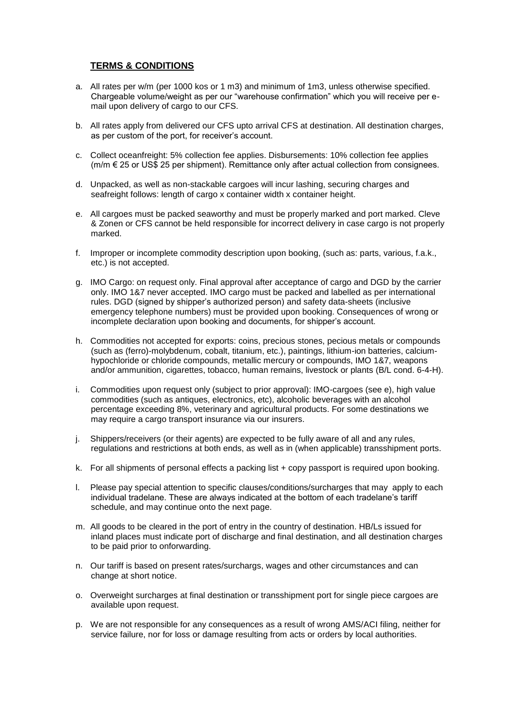## **TERMS & CONDITIONS**

- a. All rates per w/m (per 1000 kos or 1 m3) and minimum of 1m3, unless otherwise specified. Chargeable volume/weight as per our "warehouse confirmation" which you will receive per email upon delivery of cargo to our CFS.
- b. All rates apply from delivered our CFS upto arrival CFS at destination. All destination charges, as per custom of the port, for receiver's account.
- c. Collect oceanfreight: 5% collection fee applies. Disbursements: 10% collection fee applies (m/m € 25 or US\$ 25 per shipment). Remittance only after actual collection from consignees.
- d. Unpacked, as well as non-stackable cargoes will incur lashing, securing charges and seafreight follows: length of cargo x container width x container height.
- e. All cargoes must be packed seaworthy and must be properly marked and port marked. Cleve & Zonen or CFS cannot be held responsible for incorrect delivery in case cargo is not properly marked.
- f. Improper or incomplete commodity description upon booking, (such as: parts, various, f.a.k., etc.) is not accepted.
- g. IMO Cargo: on request only. Final approval after acceptance of cargo and DGD by the carrier only. IMO 1&7 never accepted. IMO cargo must be packed and labelled as per international rules. DGD (signed by shipper's authorized person) and safety data-sheets (inclusive emergency telephone numbers) must be provided upon booking. Consequences of wrong or incomplete declaration upon booking and documents, for shipper's account.
- h. Commodities not accepted for exports: coins, precious stones, pecious metals or compounds (such as (ferro)-molybdenum, cobalt, titanium, etc.), paintings, lithium-ion batteries, calciumhypochloride or chloride compounds, metallic mercury or compounds, IMO 1&7, weapons and/or ammunition, cigarettes, tobacco, human remains, livestock or plants (B/L cond. 6-4-H).
- i. Commodities upon request only (subject to prior approval): IMO-cargoes (see e), high value commodities (such as antiques, electronics, etc), alcoholic beverages with an alcohol percentage exceeding 8%, veterinary and agricultural products. For some destinations we may require a cargo transport insurance via our insurers.
- j. Shippers/receivers (or their agents) are expected to be fully aware of all and any rules, regulations and restrictions at both ends, as well as in (when applicable) transshipment ports.
- k. For all shipments of personal effects a packing list + copy passport is required upon booking.
- l. Please pay special attention to specific clauses/conditions/surcharges that may apply to each individual tradelane. These are always indicated at the bottom of each tradelane's tariff schedule, and may continue onto the next page.
- m. All goods to be cleared in the port of entry in the country of destination. HB/Ls issued for inland places must indicate port of discharge and final destination, and all destination charges to be paid prior to onforwarding.
- n. Our tariff is based on present rates/surchargs, wages and other circumstances and can change at short notice.
- o. Overweight surcharges at final destination or transshipment port for single piece cargoes are available upon request.
- p. We are not responsible for any consequences as a result of wrong AMS/ACI filing, neither for service failure, nor for loss or damage resulting from acts or orders by local authorities.